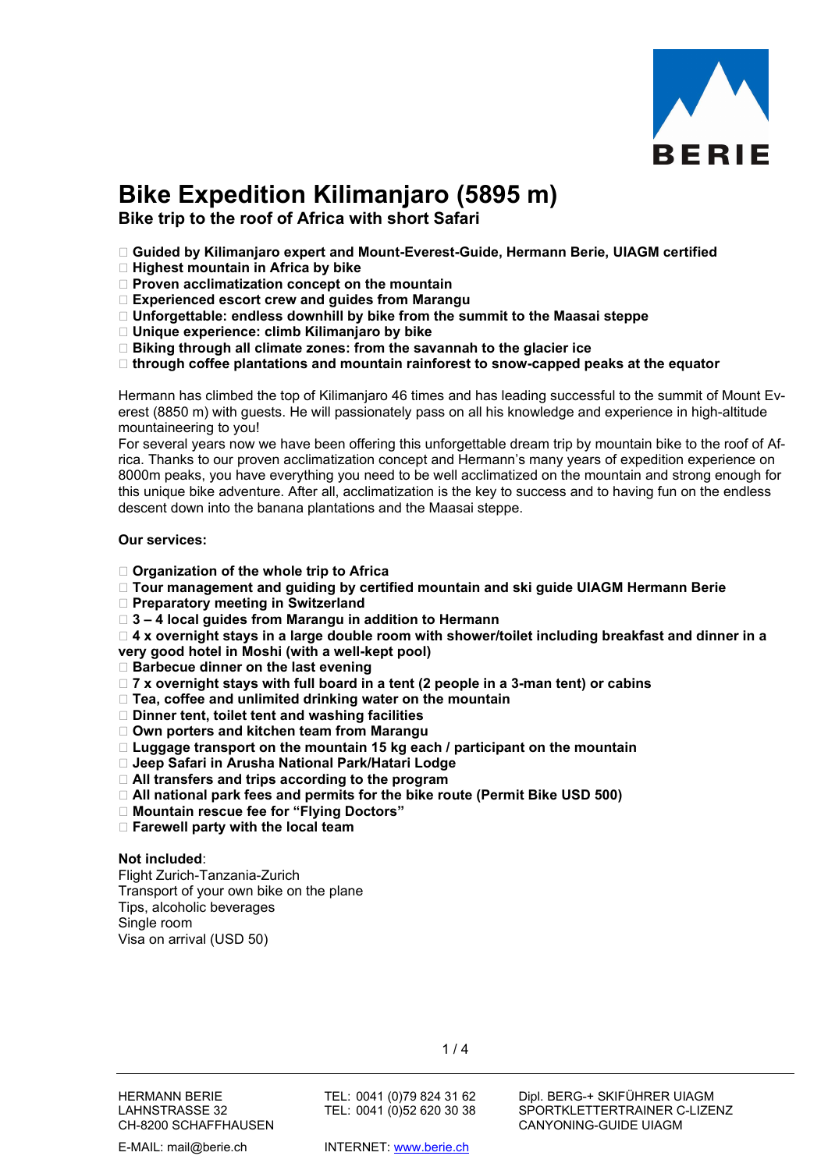

# Bike Expedition Kilimanjaro (5895 m)

Bike trip to the roof of Africa with short Safari

- Guided by Kilimanjaro expert and Mount-Everest-Guide, Hermann Berie, UIAGM certified
- $\Box$  Highest mountain in Africa by bike
- $\Box$  Proven acclimatization concept on the mountain
- $\Box$  Experienced escort crew and guides from Marangu
- $\Box$  Unforgettable: endless downhill by bike from the summit to the Maasai steppe
- □ Unique experience: climb Kilimanjaro by bike
- $\Box$  Biking through all climate zones: from the savannah to the glacier ice
- $\Box$  through coffee plantations and mountain rainforest to snow-capped peaks at the equator

Hermann has climbed the top of Kilimanjaro 46 times and has leading successful to the summit of Mount Everest (8850 m) with guests. He will passionately pass on all his knowledge and experience in high-altitude mountaineering to you!

For several years now we have been offering this unforgettable dream trip by mountain bike to the roof of Africa. Thanks to our proven acclimatization concept and Hermann's many years of expedition experience on 8000m peaks, you have everything you need to be well acclimatized on the mountain and strong enough for this unique bike adventure. After all, acclimatization is the key to success and to having fun on the endless descent down into the banana plantations and the Maasai steppe.

## Our services:

- $\Box$  Organization of the whole trip to Africa
- □ Tour management and guiding by certified mountain and ski guide UIAGM Hermann Berie
- $\Box$  Preparatory meeting in Switzerland
- $\Box$  3 4 local guides from Marangu in addition to Hermann

 $\Box$  4 x overnight stays in a large double room with shower/toilet including breakfast and dinner in a very good hotel in Moshi (with a well-kept pool)

- $\Box$  Barbecue dinner on the last evening
- □ 7 x overnight stays with full board in a tent (2 people in a 3-man tent) or cabins
- $\Box$  Tea, coffee and unlimited drinking water on the mountain
- $\square$  Dinner tent, toilet tent and washing facilities
- □ Own porters and kitchen team from Marangu
- $\Box$  Luggage transport on the mountain 15 kg each / participant on the mountain
- □ Jeep Safari in Arusha National Park/Hatari Lodge
- □ All transfers and trips according to the program
- All national park fees and permits for the bike route (Permit Bike USD 500)
- □ Mountain rescue fee for "Flying Doctors"
- $\square$  Farewell party with the local team

#### Not included:

Flight Zurich-Tanzania-Zurich Transport of your own bike on the plane Tips, alcoholic beverages Single room Visa on arrival (USD 50)

 $1/4$ 

HERMANN BERIE TEL: 0041 (0)79 824 31 62 Dipl. BERG-+ SKIFÜHRER UIAGM LAHNSTRASSE 32 TEL: 0041 (0)52 620 30 38 SPORTKLETTERTRAINER C-LIZENZ

E-MAIL: mail@berie.ch INTERNET: www.berie.ch

CANYONING-GUIDE UIAGM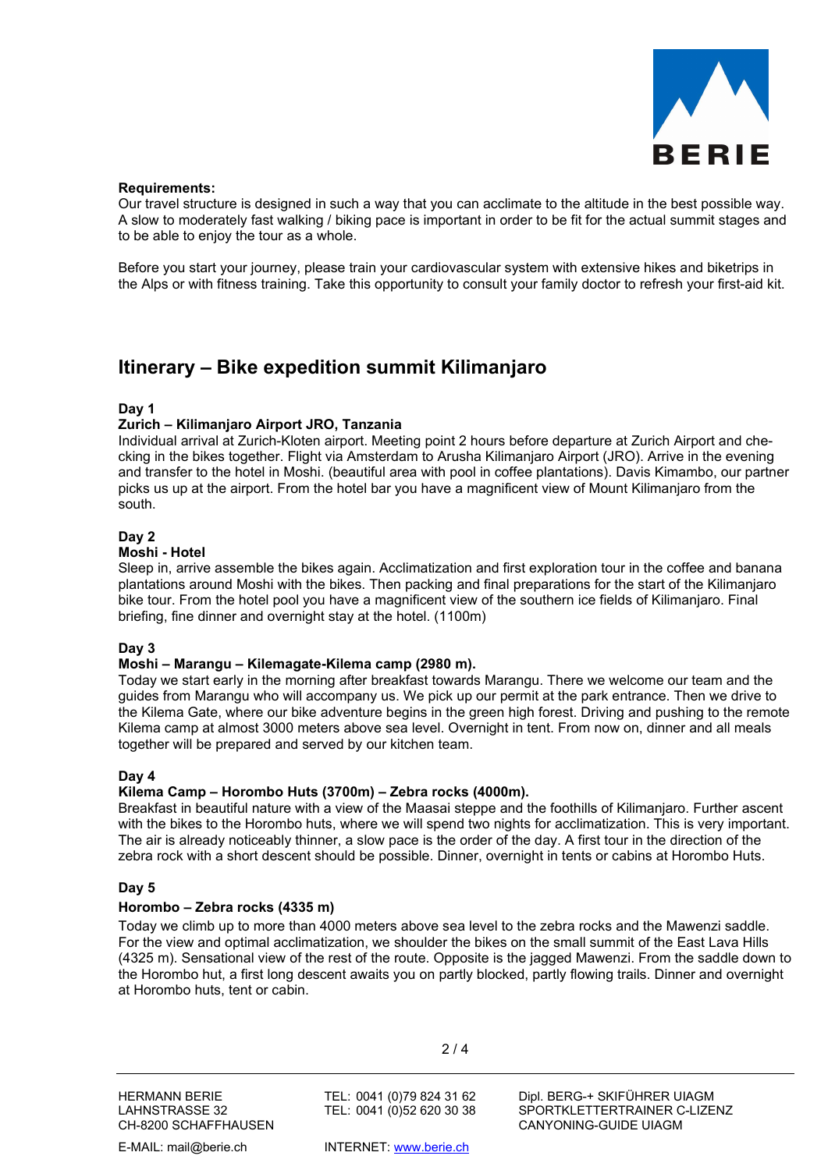

## Requirements:

Our travel structure is designed in such a way that you can acclimate to the altitude in the best possible way. A slow to moderately fast walking / biking pace is important in order to be fit for the actual summit stages and to be able to enjoy the tour as a whole.

Before you start your journey, please train your cardiovascular system with extensive hikes and biketrips in the Alps or with fitness training. Take this opportunity to consult your family doctor to refresh your first-aid kit.

## Itinerary – Bike expedition summit Kilimanjaro

## Day 1

## Zurich – Kilimanjaro Airport JRO, Tanzania

Individual arrival at Zurich-Kloten airport. Meeting point 2 hours before departure at Zurich Airport and checking in the bikes together. Flight via Amsterdam to Arusha Kilimanjaro Airport (JRO). Arrive in the evening and transfer to the hotel in Moshi. (beautiful area with pool in coffee plantations). Davis Kimambo, our partner picks us up at the airport. From the hotel bar you have a magnificent view of Mount Kilimanjaro from the south.

## Day 2

#### Moshi - Hotel

Sleep in, arrive assemble the bikes again. Acclimatization and first exploration tour in the coffee and banana plantations around Moshi with the bikes. Then packing and final preparations for the start of the Kilimanjaro bike tour. From the hotel pool you have a magnificent view of the southern ice fields of Kilimanjaro. Final briefing, fine dinner and overnight stay at the hotel. (1100m)

#### Day 3

#### Moshi – Marangu – Kilemagate-Kilema camp (2980 m).

Today we start early in the morning after breakfast towards Marangu. There we welcome our team and the guides from Marangu who will accompany us. We pick up our permit at the park entrance. Then we drive to the Kilema Gate, where our bike adventure begins in the green high forest. Driving and pushing to the remote Kilema camp at almost 3000 meters above sea level. Overnight in tent. From now on, dinner and all meals together will be prepared and served by our kitchen team.

#### Day 4

#### Kilema Camp – Horombo Huts (3700m) – Zebra rocks (4000m).

Breakfast in beautiful nature with a view of the Maasai steppe and the foothills of Kilimanjaro. Further ascent with the bikes to the Horombo huts, where we will spend two nights for acclimatization. This is very important. The air is already noticeably thinner, a slow pace is the order of the day. A first tour in the direction of the zebra rock with a short descent should be possible. Dinner, overnight in tents or cabins at Horombo Huts.

#### Day 5

## Horombo – Zebra rocks (4335 m)

Today we climb up to more than 4000 meters above sea level to the zebra rocks and the Mawenzi saddle. For the view and optimal acclimatization, we shoulder the bikes on the small summit of the East Lava Hills (4325 m). Sensational view of the rest of the route. Opposite is the jagged Mawenzi. From the saddle down to the Horombo hut, a first long descent awaits you on partly blocked, partly flowing trails. Dinner and overnight at Horombo huts, tent or cabin.

 $2/4$ 

HERMANN BERIE TEL: 0041 (0)79 824 31 62 Dipl. BERG-+ SKIFÜHRER UIAGM LAHNSTRASSE 32 TEL: 0041 (0)52 620 30 38 SPORTKLETTERTRAINER C-LIZENZ CANYONING-GUIDE UIAGM

E-MAIL: mail@berie.ch INTERNET: www.berie.ch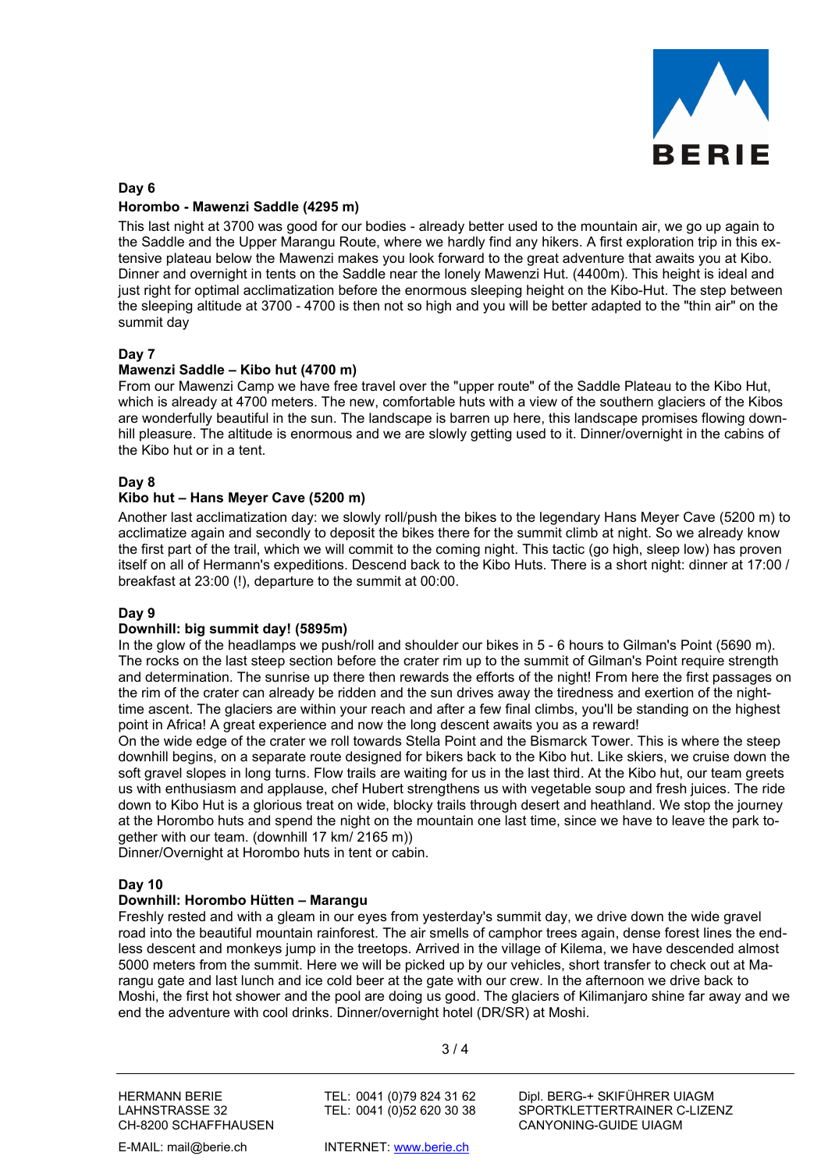

## Day 6 Horombo - Mawenzi Saddle (4295 m)

This last night at 3700 was good for our bodies - already better used to the mountain air, we go up again to the Saddle and the Upper Marangu Route, where we hardly find any hikers. A first exploration trip in this extensive plateau below the Mawenzi makes you look forward to the great adventure that awaits you at Kibo. Dinner and overnight in tents on the Saddle near the lonely Mawenzi Hut. (4400m). This height is ideal and just right for optimal acclimatization before the enormous sleeping height on the Kibo-Hut. The step between the sleeping altitude at 3700 - 4700 is then not so high and you will be better adapted to the "thin air" on the summit day

## Day 7

## Mawenzi Saddle – Kibo hut (4700 m)

From our Mawenzi Camp we have free travel over the "upper route" of the Saddle Plateau to the Kibo Hut, which is already at 4700 meters. The new, comfortable huts with a view of the southern glaciers of the Kibos are wonderfully beautiful in the sun. The landscape is barren up here, this landscape promises flowing downhill pleasure. The altitude is enormous and we are slowly getting used to it. Dinner/overnight in the cabins of the Kibo hut or in a tent.

## Day 8

## Kibo hut – Hans Meyer Cave (5200 m)

Another last acclimatization day: we slowly roll/push the bikes to the legendary Hans Meyer Cave (5200 m) to acclimatize again and secondly to deposit the bikes there for the summit climb at night. So we already know the first part of the trail, which we will commit to the coming night. This tactic (go high, sleep low) has proven itself on all of Hermann's expeditions. Descend back to the Kibo Huts. There is a short night: dinner at 17:00 / breakfast at 23:00 (!), departure to the summit at 00:00.

## Day 9

## Downhill: big summit day! (5895m)

In the glow of the headlamps we push/roll and shoulder our bikes in 5 - 6 hours to Gilman's Point (5690 m). The rocks on the last steep section before the crater rim up to the summit of Gilman's Point require strength and determination. The sunrise up there then rewards the efforts of the night! From here the first passages on the rim of the crater can already be ridden and the sun drives away the tiredness and exertion of the nighttime ascent. The glaciers are within your reach and after a few final climbs, you'll be standing on the highest point in Africa! A great experience and now the long descent awaits you as a reward!

On the wide edge of the crater we roll towards Stella Point and the Bismarck Tower. This is where the steep downhill begins, on a separate route designed for bikers back to the Kibo hut. Like skiers, we cruise down the soft gravel slopes in long turns. Flow trails are waiting for us in the last third. At the Kibo hut, our team greets us with enthusiasm and applause, chef Hubert strengthens us with vegetable soup and fresh juices. The ride down to Kibo Hut is a glorious treat on wide, blocky trails through desert and heathland. We stop the journey at the Horombo huts and spend the night on the mountain one last time, since we have to leave the park together with our team. (downhill 17 km/ 2165 m))

Dinner/Overnight at Horombo huts in tent or cabin.

## Day 10

## Downhill: Horombo Hütten – Marangu

Freshly rested and with a gleam in our eyes from yesterday's summit day, we drive down the wide gravel road into the beautiful mountain rainforest. The air smells of camphor trees again, dense forest lines the endless descent and monkeys jump in the treetops. Arrived in the village of Kilema, we have descended almost 5000 meters from the summit. Here we will be picked up by our vehicles, short transfer to check out at Marangu gate and last lunch and ice cold beer at the gate with our crew. In the afternoon we drive back to Moshi, the first hot shower and the pool are doing us good. The glaciers of Kilimanjaro shine far away and we end the adventure with cool drinks. Dinner/overnight hotel (DR/SR) at Moshi.

 $3/4$ 

HERMANN BERIE TEL: 0041 (0)79 824 31 62 Dipl. BERG-+ SKIFÜHRER UIAGM LAHNSTRASSE 32 TEL: 0041 (0)52 620 30 38 SPORTKLETTERTRAINER C-LIZENZ CANYONING-GUIDE UIAGM

E-MAIL: mail@berie.ch INTERNET: www.berie.ch